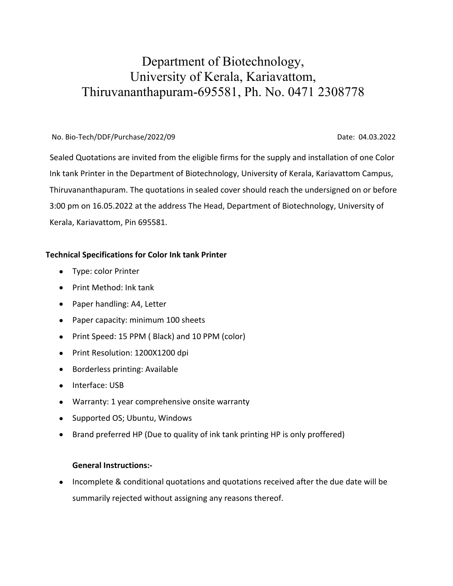## Department of Biotechnology, University of Kerala, Kariavattom, Thiruvananthapuram-695581, Ph. No. 0471 2308778

## No. Bio-Tech/DDF/Purchase/2022/09 Date: 04.03.2022

 Sealed Quotations are invited from the eligible firms for the supply and installation of one Color Ink tank Printer in the Department of Biotechnology, University of Kerala, Kariavattom Campus, Thiruvananthapuram. The quotations in sealed cover should reach the undersigned on or before 3:00 pm on 16.05.2022 at the address The Head, Department of Biotechnology, University of Kerala, Kariavattom, Pin 695581.

## **Technical Specifications for Color Ink tank Printer**

- Type: color Printer
- Print Method: Ink tank
- Paper handling: A4, Letter
- Paper capacity: minimum 100 sheets
- Print Speed: 15 PPM ( Black) and 10 PPM (color)
- Print Resolution: 1200X1200 dpi
- Borderless printing: Available
- Interface: USB
- Warranty: 1 year comprehensive onsite warranty
- Supported OS; Ubuntu, Windows
- Brand preferred HP (Due to quality of ink tank printing HP is only proffered)

## **General Instructions:-**

 Incomplete & conditional quotations and quotations received after the due date will be summarily rejected without assigning any reasons thereof.